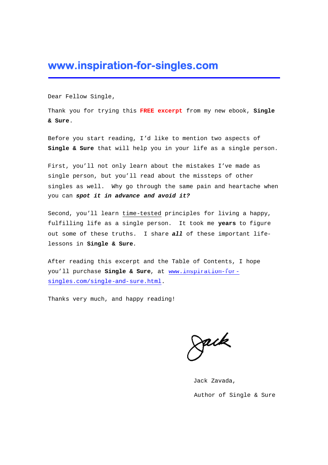#### **www.inspiration-for-singles.com**

Dear Fellow Single,

Thank you for trying this **FREE excerpt** from my new ebook, **Single & Sure**.

Before you start reading, I'd like to mention two aspects of **Single & Sure** that will help you in your life as a single person.

First, you'll not only learn about the mistakes I've made as single person, but you'll read about the missteps of other singles as well. Why go through the same pain and heartache when you can *spot it in advance and avoid it?*

Second, you'll learn time-tested principles for living a happy, fulfilling life as a single person. It took me **years** to figure out some of these truths. I share *all* of these important lifelessons in **Single & Sure**.

After reading this excerpt and the Table of Contents, I hope you'll purchase **Single & Sure**, at [www.inspiration-for](http://www.inspiration-for-singles.com/single-and-sure.html)[singles.com/single-and-sure.html.](http://www.inspiration-for-singles.com/single-and-sure.html)

Thanks very much, and happy reading!

zaik

Jack Zavada, Author of Single & Sure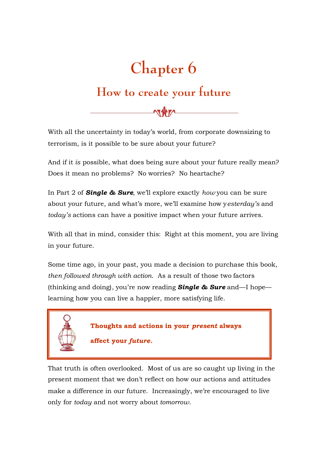# **Chapter 6**

### **How to create your future**

With all the uncertainty in today's world, from corporate downsizing to terrorism, is it possible to be sure about your future?

And if it *is* possible, what does being sure about your future really mean? Does it mean no problems? No worries? No heartache?

In Part 2 of *Single & Sure*, we'll explore exactly *how* you can be sure about your future, and what's more, we'll examine how y*esterday's* and *today's* actions can have a positive impact when your future arrives.

With all that in mind, consider this: Right at this moment, you are living in your future.

Some time ago, in your past, you made a decision to purchase this book, *then followed through with action*. As a result of those two factors (thinking and doing), you're now reading *Single & Sure* and—I hope learning how you can live a happier, more satisfying life.



That truth is often overlooked. Most of us are so caught up living in the present moment that we don't reflect on how our actions and attitudes make a difference in our future. Increasingly, we're encouraged to live only for *today* and not worry about *tomorrow*.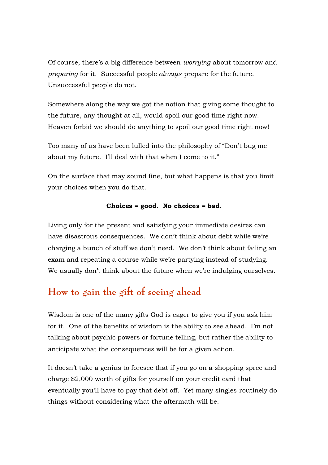Of course, there's a big difference between *worrying* about tomorrow and *preparing* for it. Successful people *always* prepare for the future. Unsuccessful people do not.

Somewhere along the way we got the notion that giving some thought to the future, any thought at all, would spoil our good time right now. Heaven forbid we should do anything to spoil our good time right now!

Too many of us have been lulled into the philosophy of "Don't bug me about my future. I'll deal with that when I come to it."

On the surface that may sound fine, but what happens is that you limit your choices when you do that.

#### **Choices = good. No choices = bad.**

Living only for the present and satisfying your immediate desires can have disastrous consequences. We don't think about debt while we're charging a bunch of stuff we don't need. We don't think about failing an exam and repeating a course while we're partying instead of studying. We usually don't think about the future when we're indulging ourselves.

#### **How to gain the gift of seeing ahead**

Wisdom is one of the many gifts God is eager to give you if you ask him for it. One of the benefits of wisdom is the ability to see ahead. I'm not talking about psychic powers or fortune telling, but rather the ability to anticipate what the consequences will be for a given action.

It doesn't take a genius to foresee that if you go on a shopping spree and charge \$2,000 worth of gifts for yourself on your credit card that eventually you'll have to pay that debt off. Yet many singles routinely do things without considering what the aftermath will be.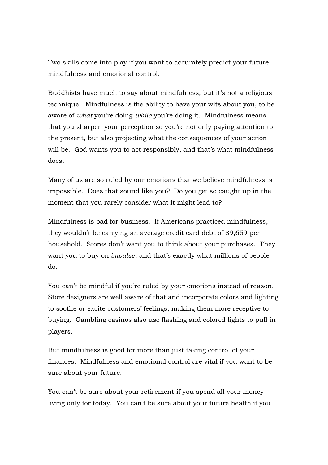Two skills come into play if you want to accurately predict your future: mindfulness and emotional control.

Buddhists have much to say about mindfulness, but it's not a religious technique. Mindfulness is the ability to have your wits about you, to be aware of *what* you're doing *while* you're doing it. Mindfulness means that you sharpen your perception so you're not only paying attention to the present, but also projecting what the consequences of your action will be. God wants you to act responsibly, and that's what mindfulness does.

Many of us are so ruled by our emotions that we believe mindfulness is impossible. Does that sound like you? Do you get so caught up in the moment that you rarely consider what it might lead to?

Mindfulness is bad for business. If Americans practiced mindfulness, they wouldn't be carrying an average credit card debt of \$9,659 per household. Stores don't want you to think about your purchases. They want you to buy on *impulse*, and that's exactly what millions of people do.

You can't be mindful if you're ruled by your emotions instead of reason. Store designers are well aware of that and incorporate colors and lighting to soothe or excite customers' feelings, making them more receptive to buying. Gambling casinos also use flashing and colored lights to pull in players.

But mindfulness is good for more than just taking control of your finances. Mindfulness and emotional control are vital if you want to be sure about your future.

You can't be sure about your retirement if you spend all your money living only for today. You can't be sure about your future health if you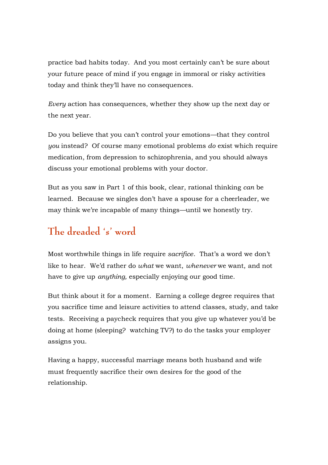practice bad habits today. And you most certainly can't be sure about your future peace of mind if you engage in immoral or risky activities today and think they'll have no consequences.

*Every* action has consequences, whether they show up the next day or the next year.

Do you believe that you can't control your emotions—that they control *you* instead? Of course many emotional problems *do* exist which require medication, from depression to schizophrenia, and you should always discuss your emotional problems with your doctor.

But as you saw in Part 1 of this book, clear, rational thinking *can* be learned. Because we singles don't have a spouse for a cheerleader, we may think we're incapable of many things—until we honestly try.

#### **The dreaded 's' word**

Most worthwhile things in life require *sacrifice*. That's a word we don't like to hear. We'd rather do *what* we want, *whenever* we want, and not have to give up *anything,* especially enjoying our good time.

But think about it for a moment. Earning a college degree requires that you sacrifice time and leisure activities to attend classes, study, and take tests. Receiving a paycheck requires that you give up whatever you'd be doing at home (sleeping? watching TV?) to do the tasks your employer assigns you.

Having a happy, successful marriage means both husband and wife must frequently sacrifice their own desires for the good of the relationship.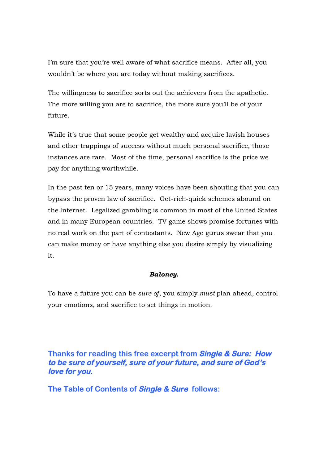I'm sure that you're well aware of what sacrifice means. After all, you wouldn't be where you are today without making sacrifices.

The willingness to sacrifice sorts out the achievers from the apathetic. The more willing you are to sacrifice, the more sure you'll be of your future.

While it's true that some people get wealthy and acquire lavish houses and other trappings of success without much personal sacrifice, those instances are rare. Most of the time, personal sacrifice is the price we pay for anything worthwhile.

In the past ten or 15 years, many voices have been shouting that you can bypass the proven law of sacrifice. Get-rich-quick schemes abound on the Internet. Legalized gambling is common in most of the United States and in many European countries. TV game shows promise fortunes with no real work on the part of contestants. New Age gurus swear that you can make money or have anything else you desire simply by visualizing it.

#### *Baloney.*

To have a future you can be *sure of*, you simply *must* plan ahead, control your emotions, and sacrifice to set things in motion.

#### **Thanks for reading this free excerpt from Single & Sure: How** to be sure of yourself, sure of your future, and sure of God's **love for you.**

**The Table of Contents of Single & Sure follows:**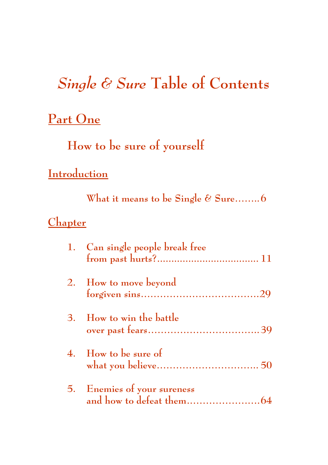# *Single & Sure* **Table of Contents**

### **Part One**

**How to be sure of yourself**

### **Introduction**

**What it means to be Single & Sure……..6**

### **Chapter**

| 1. Can single people break free |
|---------------------------------|
| 2. How to move beyond           |
| 3. How to win the battle        |
| 4. How to be sure of            |
| 5. Enemies of your sureness     |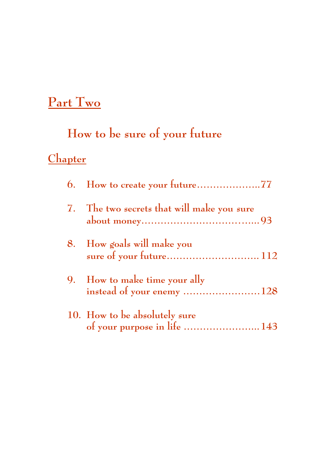# **Part Two**

# **How to be sure of your future**

## **Chapter**

| 6. How to create your future77                             |
|------------------------------------------------------------|
| 7. The two secrets that will make you sure                 |
| 8. How goals will make you                                 |
| 9. How to make time your ally<br>instead of your enemy 128 |
| 10. How to be absolutely sure                              |